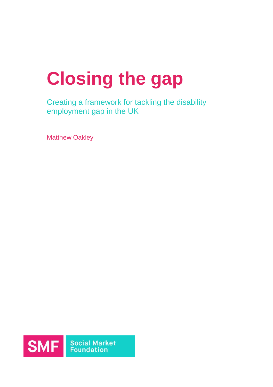# **Closing the gap**

Creating a framework for tackling the disability employment gap in the UK

Matthew Oakley

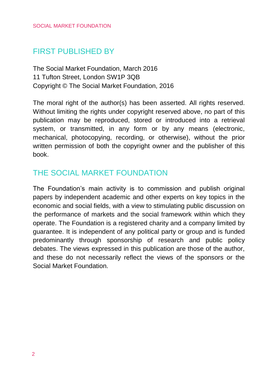# FIRST PUBLISHED BY

The Social Market Foundation, March 2016 11 Tufton Street, London SW1P 3QB Copyright © The Social Market Foundation, 2016

The moral right of the author(s) has been asserted. All rights reserved. Without limiting the rights under copyright reserved above, no part of this publication may be reproduced, stored or introduced into a retrieval system, or transmitted, in any form or by any means (electronic, mechanical, photocopying, recording, or otherwise), without the prior written permission of both the copyright owner and the publisher of this book.

# THE SOCIAL MARKET FOUNDATION

The Foundation's main activity is to commission and publish original papers by independent academic and other experts on key topics in the economic and social fields, with a view to stimulating public discussion on the performance of markets and the social framework within which they operate. The Foundation is a registered charity and a company limited by guarantee. It is independent of any political party or group and is funded predominantly through sponsorship of research and public policy debates. The views expressed in this publication are those of the author, and these do not necessarily reflect the views of the sponsors or the Social Market Foundation.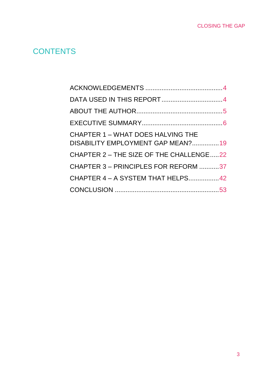# **CONTENTS**

| CHAPTER 1 - WHAT DOES HALVING THE<br>DISABILITY EMPLOYMENT GAP MEAN?19 |  |
|------------------------------------------------------------------------|--|
| CHAPTER 2 - THE SIZE OF THE CHALLENGE22                                |  |
| CHAPTER 3 - PRINCIPLES FOR REFORM 37                                   |  |
| CHAPTER 4 - A SYSTEM THAT HELPS 42                                     |  |
|                                                                        |  |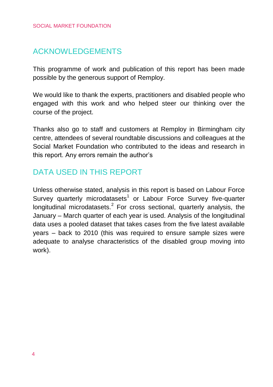# <span id="page-3-0"></span>ACKNOWLEDGEMENTS

This programme of work and publication of this report has been made possible by the generous support of Remploy.

We would like to thank the experts, practitioners and disabled people who engaged with this work and who helped steer our thinking over the course of the project.

Thanks also go to staff and customers at Remploy in Birmingham city centre, attendees of several roundtable discussions and colleagues at the Social Market Foundation who contributed to the ideas and research in this report. Any errors remain the author's

# <span id="page-3-1"></span>DATA USED IN THIS REPORT

Unless otherwise stated, analysis in this report is based on Labour Force Survey quarterly microdatasets<sup>1</sup> or Labour Force Survey five-quarter longitudinal microdatasets.<sup>2</sup> For cross sectional, quarterly analysis, the January – March quarter of each year is used. Analysis of the longitudinal data uses a pooled dataset that takes cases from the five latest available years – back to 2010 (this was required to ensure sample sizes were adequate to analyse characteristics of the disabled group moving into work).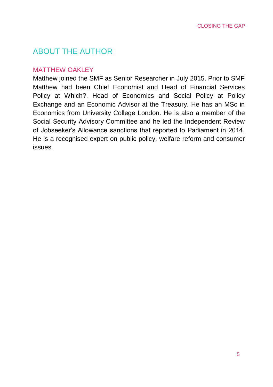# <span id="page-4-0"></span>ABOUT THE AUTHOR

## **MATTHEW OAKLEY**

Matthew joined the SMF as Senior Researcher in July 2015. Prior to SMF Matthew had been Chief Economist and Head of Financial Services Policy at Which?, Head of Economics and Social Policy at Policy Exchange and an Economic Advisor at the Treasury. He has an MSc in Economics from University College London. He is also a member of the Social Security Advisory Committee and he led the Independent Review of Jobseeker's Allowance sanctions that reported to Parliament in 2014. He is a recognised expert on public policy, welfare reform and consumer issues.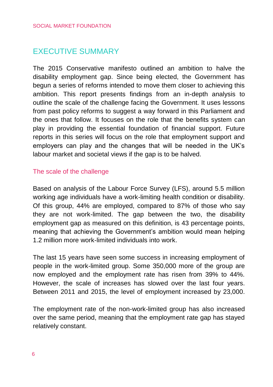# <span id="page-5-0"></span>EXECUTIVE SUMMARY

The 2015 Conservative manifesto outlined an ambition to halve the disability employment gap. Since being elected, the Government has begun a series of reforms intended to move them closer to achieving this ambition. This report presents findings from an in-depth analysis to outline the scale of the challenge facing the Government. It uses lessons from past policy reforms to suggest a way forward in this Parliament and the ones that follow. It focuses on the role that the benefits system can play in providing the essential foundation of financial support. Future reports in this series will focus on the role that employment support and employers can play and the changes that will be needed in the UK's labour market and societal views if the gap is to be halved.

# The scale of the challenge

Based on analysis of the Labour Force Survey (LFS), around 5.5 million working age individuals have a work-limiting health condition or disability. Of this group, 44% are employed, compared to 87% of those who say they are not work-limited. The gap between the two, the disability employment gap as measured on this definition, is 43 percentage points, meaning that achieving the Government's ambition would mean helping 1.2 million more work-limited individuals into work.

The last 15 years have seen some success in increasing employment of people in the work-limited group. Some 350,000 more of the group are now employed and the employment rate has risen from 39% to 44%. However, the scale of increases has slowed over the last four years. Between 2011 and 2015, the level of employment increased by 23,000.

The employment rate of the non-work-limited group has also increased over the same period, meaning that the employment rate gap has stayed relatively constant.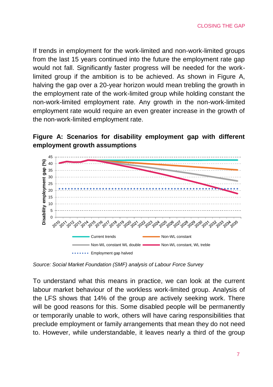If trends in employment for the work-limited and non-work-limited groups from the last 15 years continued into the future the employment rate gap would not fall. Significantly faster progress will be needed for the worklimited group if the ambition is to be achieved. As shown in Figure A, halving the gap over a 20-year horizon would mean trebling the growth in the employment rate of the work-limited group while holding constant the non-work-limited employment rate. Any growth in the non-work-limited employment rate would require an even greater increase in the growth of the non-work-limited employment rate.

# **Figure A: Scenarios for disability employment gap with different employment growth assumptions**



*Source: Social Market Foundation (SMF) analysis of Labour Force Survey*

To understand what this means in practice, we can look at the current labour market behaviour of the workless work-limited group. Analysis of the LFS shows that 14% of the group are actively seeking work. There will be good reasons for this. Some disabled people will be permanently or temporarily unable to work, others will have caring responsibilities that preclude employment or family arrangements that mean they do not need to. However, while understandable, it leaves nearly a third of the group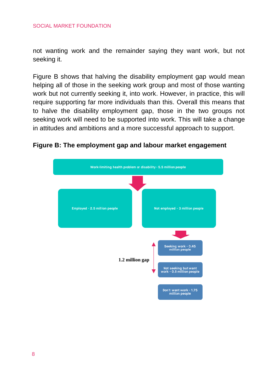not wanting work and the remainder saying they want work, but not seeking it.

Figure B shows that halving the disability employment gap would mean helping all of those in the seeking work group and most of those wanting work but not currently seeking it, into work. However, in practice, this will require supporting far more individuals than this. Overall this means that to halve the disability employment gap, those in the two groups not seeking work will need to be supported into work. This will take a change in attitudes and ambitions and a more successful approach to support.

**Figure B: The employment gap and labour market engagement**

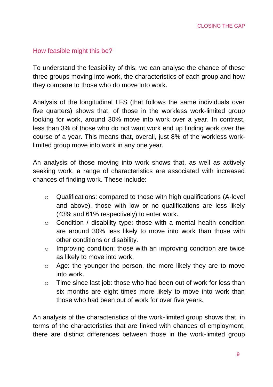## How feasible might this be?

To understand the feasibility of this, we can analyse the chance of these three groups moving into work, the characteristics of each group and how they compare to those who do move into work.

Analysis of the longitudinal LFS (that follows the same individuals over five quarters) shows that, of those in the workless work-limited group looking for work, around 30% move into work over a year. In contrast, less than 3% of those who do not want work end up finding work over the course of a year. This means that, overall, just 8% of the workless worklimited group move into work in any one year.

An analysis of those moving into work shows that, as well as actively seeking work, a range of characteristics are associated with increased chances of finding work. These include:

- $\circ$  Qualifications: compared to those with high qualifications (A-level) and above), those with low or no qualifications are less likely (43% and 61% respectively) to enter work.
- o Condition / disability type: those with a mental health condition are around 30% less likely to move into work than those with other conditions or disability.
- o Improving condition: those with an improving condition are twice as likely to move into work.
- o Age: the younger the person, the more likely they are to move into work.
- o Time since last job: those who had been out of work for less than six months are eight times more likely to move into work than those who had been out of work for over five years.

An analysis of the characteristics of the work-limited group shows that, in terms of the characteristics that are linked with chances of employment, there are distinct differences between those in the work-limited group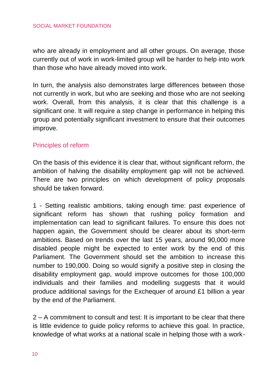#### SOCIAL MARKET FOUNDATION

who are already in employment and all other groups. On average, those currently out of work in work-limited group will be harder to help into work than those who have already moved into work.

In turn, the analysis also demonstrates large differences between those not currently in work, but who are seeking and those who are not seeking work. Overall, from this analysis, it is clear that this challenge is a significant one. It will require a step change in performance in helping this group and potentially significant investment to ensure that their outcomes improve.

#### Principles of reform

On the basis of this evidence it is clear that, without significant reform, the ambition of halving the disability employment gap will not be achieved. There are two principles on which development of policy proposals should be taken forward.

1 - Setting realistic ambitions, taking enough time: past experience of significant reform has shown that rushing policy formation and implementation can lead to significant failures. To ensure this does not happen again, the Government should be clearer about its short-term ambitions. Based on trends over the last 15 years, around 90,000 more disabled people might be expected to enter work by the end of this Parliament. The Government should set the ambition to increase this number to 190,000. Doing so would signify a positive step in closing the disability employment gap, would improve outcomes for those 100,000 individuals and their families and modelling suggests that it would produce additional savings for the Exchequer of around £1 billion a year by the end of the Parliament.

2 – A commitment to consult and test: It is important to be clear that there is little evidence to guide policy reforms to achieve this goal. In practice, knowledge of what works at a national scale in helping those with a work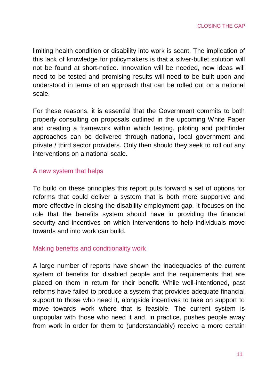limiting health condition or disability into work is scant. The implication of this lack of knowledge for policymakers is that a silver-bullet solution will not be found at short-notice. Innovation will be needed, new ideas will need to be tested and promising results will need to be built upon and understood in terms of an approach that can be rolled out on a national scale.

For these reasons, it is essential that the Government commits to both properly consulting on proposals outlined in the upcoming White Paper and creating a framework within which testing, piloting and pathfinder approaches can be delivered through national, local government and private / third sector providers. Only then should they seek to roll out any interventions on a national scale.

#### A new system that helps

To build on these principles this report puts forward a set of options for reforms that could deliver a system that is both more supportive and more effective in closing the disability employment gap. It focuses on the role that the benefits system should have in providing the financial security and incentives on which interventions to help individuals move towards and into work can build.

#### Making benefits and conditionality work

A large number of reports have shown the inadequacies of the current system of benefits for disabled people and the requirements that are placed on them in return for their benefit. While well-intentioned, past reforms have failed to produce a system that provides adequate financial support to those who need it, alongside incentives to take on support to move towards work where that is feasible. The current system is unpopular with those who need it and, in practice, pushes people away from work in order for them to (understandably) receive a more certain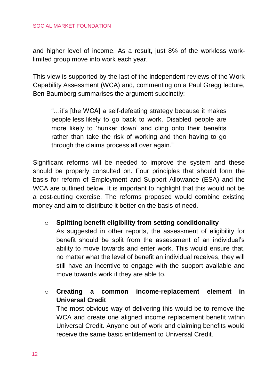and higher level of income. As a result, just 8% of the workless worklimited group move into work each year.

This view is supported by the last of the independent reviews of the Work Capability Assessment (WCA) and, commenting on a Paul Gregg lecture, Ben Baumberg summarises the argument succinctly:

"…it's [the WCA] a self-defeating strategy because it makes people less likely to go back to work. Disabled people are more likely to 'hunker down' and cling onto their benefits rather than take the risk of working and then having to go through the claims process all over again."

Significant reforms will be needed to improve the system and these should be properly consulted on. Four principles that should form the basis for reform of Employment and Support Allowance (ESA) and the WCA are outlined below. It is important to highlight that this would not be a cost-cutting exercise. The reforms proposed would combine existing money and aim to distribute it better on the basis of need.

o **Splitting benefit eligibility from setting conditionality**

As suggested in other reports, the assessment of eligibility for benefit should be split from the assessment of an individual's ability to move towards and enter work. This would ensure that, no matter what the level of benefit an individual receives, they will still have an incentive to engage with the support available and move towards work if they are able to.

o **Creating a common income-replacement element in Universal Credit**

The most obvious way of delivering this would be to remove the WCA and create one aligned income replacement benefit within Universal Credit. Anyone out of work and claiming benefits would receive the same basic entitlement to Universal Credit.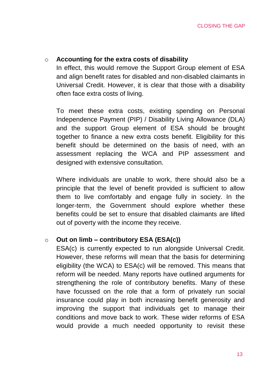#### o **Accounting for the extra costs of disability**

In effect, this would remove the Support Group element of ESA and align benefit rates for disabled and non-disabled claimants in Universal Credit. However, it is clear that those with a disability often face extra costs of living.

To meet these extra costs, existing spending on Personal Independence Payment (PIP) / Disability Living Allowance (DLA) and the support Group element of ESA should be brought together to finance a new extra costs benefit. Eligibility for this benefit should be determined on the basis of need, with an assessment replacing the WCA and PIP assessment and designed with extensive consultation.

Where individuals are unable to work, there should also be a principle that the level of benefit provided is sufficient to allow them to live comfortably and engage fully in society. In the longer-term, the Government should explore whether these benefits could be set to ensure that disabled claimants are lifted out of poverty with the income they receive.

## o **Out on limb – contributory ESA (ESA(c))**

ESA(c) is currently expected to run alongside Universal Credit. However, these reforms will mean that the basis for determining eligibility (the WCA) to ESA(c) will be removed. This means that reform will be needed. Many reports have outlined arguments for strengthening the role of contributory benefits. Many of these have focussed on the role that a form of privately run social insurance could play in both increasing benefit generosity and improving the support that individuals get to manage their conditions and move back to work. These wider reforms of ESA would provide a much needed opportunity to revisit these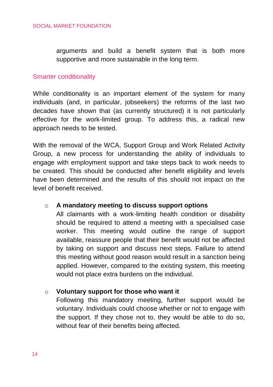arguments and build a benefit system that is both more supportive and more sustainable in the long term.

#### Smarter conditionality

While conditionality is an important element of the system for many individuals (and, in particular, jobseekers) the reforms of the last two decades have shown that (as currently structured) it is not particularly effective for the work-limited group. To address this, a radical new approach needs to be tested.

With the removal of the WCA, Support Group and Work Related Activity Group, a new process for understanding the ability of individuals to engage with employment support and take steps back to work needs to be created. This should be conducted after benefit eligibility and levels have been determined and the results of this should not impact on the level of benefit received.

#### o **A mandatory meeting to discuss support options**

All claimants with a work-limiting health condition or disability should be required to attend a meeting with a specialised case worker. This meeting would outline the range of support available, reassure people that their benefit would not be affected by taking on support and discuss next steps. Failure to attend this meeting without good reason would result in a sanction being applied. However, compared to the existing system, this meeting would not place extra burdens on the individual.

#### o **Voluntary support for those who want it**

Following this mandatory meeting, further support would be voluntary. Individuals could choose whether or not to engage with the support. If they chose not to, they would be able to do so, without fear of their benefits being affected.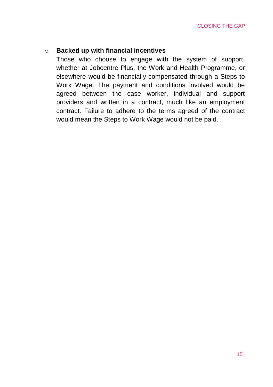# o **Backed up with financial incentives**

Those who choose to engage with the system of support, whether at Jobcentre Plus, the Work and Health Programme, or elsewhere would be financially compensated through a Steps to Work Wage. The payment and conditions involved would be agreed between the case worker, individual and support providers and written in a contract, much like an employment contract. Failure to adhere to the terms agreed of the contract would mean the Steps to Work Wage would not be paid.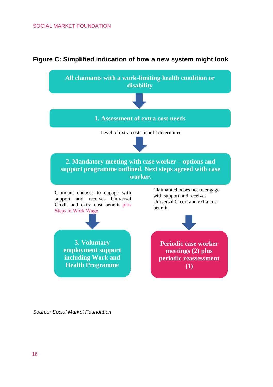#### SOCIAL MARKET FOUNDATION



#### **Figure C: Simplified indication of how a new system might look**

*Source: Social Market Foundation*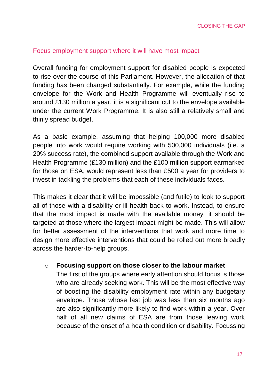## Focus employment support where it will have most impact

Overall funding for employment support for disabled people is expected to rise over the course of this Parliament. However, the allocation of that funding has been changed substantially. For example, while the funding envelope for the Work and Health Programme will eventually rise to around £130 million a year, it is a significant cut to the envelope available under the current Work Programme. It is also still a relatively small and thinly spread budget.

As a basic example, assuming that helping 100,000 more disabled people into work would require working with 500,000 individuals (i.e. a 20% success rate), the combined support available through the Work and Health Programme (£130 million) and the £100 million support earmarked for those on ESA, would represent less than £500 a year for providers to invest in tackling the problems that each of these individuals faces.

This makes it clear that it will be impossible (and futile) to look to support all of those with a disability or ill health back to work. Instead, to ensure that the most impact is made with the available money, it should be targeted at those where the largest impact might be made. This will allow for better assessment of the interventions that work and more time to design more effective interventions that could be rolled out more broadly across the harder-to-help groups.

#### o **Focusing support on those closer to the labour market**

The first of the groups where early attention should focus is those who are already seeking work. This will be the most effective way of boosting the disability employment rate within any budgetary envelope. Those whose last job was less than six months ago are also significantly more likely to find work within a year. Over half of all new claims of ESA are from those leaving work because of the onset of a health condition or disability. Focussing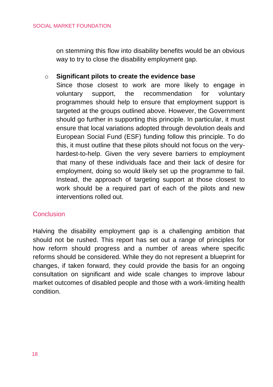on stemming this flow into disability benefits would be an obvious way to try to close the disability employment gap.

## o **Significant pilots to create the evidence base**

Since those closest to work are more likely to engage in voluntary support, the recommendation for voluntary programmes should help to ensure that employment support is targeted at the groups outlined above. However, the Government should go further in supporting this principle. In particular, it must ensure that local variations adopted through devolution deals and European Social Fund (ESF) funding follow this principle. To do this, it must outline that these pilots should not focus on the veryhardest-to-help. Given the very severe barriers to employment that many of these individuals face and their lack of desire for employment, doing so would likely set up the programme to fail. Instead, the approach of targeting support at those closest to work should be a required part of each of the pilots and new interventions rolled out.

## **Conclusion**

Halving the disability employment gap is a challenging ambition that should not be rushed. This report has set out a range of principles for how reform should progress and a number of areas where specific reforms should be considered. While they do not represent a blueprint for changes, if taken forward, they could provide the basis for an ongoing consultation on significant and wide scale changes to improve labour market outcomes of disabled people and those with a work-limiting health condition.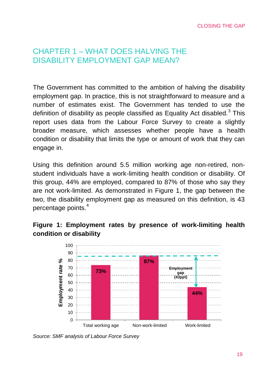# <span id="page-18-0"></span>CHAPTER 1 – WHAT DOES HALVING THE DISABILITY EMPLOYMENT GAP MEAN?

The Government has committed to the ambition of halving the disability employment gap. In practice, this is not straightforward to measure and a number of estimates exist. The Government has tended to use the definition of disability as people classified as Equality Act disabled.<sup>3</sup> This report uses data from the Labour Force Survey to create a slightly broader measure, which assesses whether people have a health condition or disability that limits the type or amount of work that they can engage in.

Using this definition around 5.5 million working age non-retired, nonstudent individuals have a work-limiting health condition or disability. Of this group, 44% are employed, compared to 87% of those who say they are not work-limited. As demonstrated in Figure 1, the gap between the two, the disability employment gap as measured on this definition, is 43 percentage points.<sup>4</sup>

# **Figure 1: Employment rates by presence of work-limiting health condition or disability**



*Source: SMF analysis of Labour Force Survey*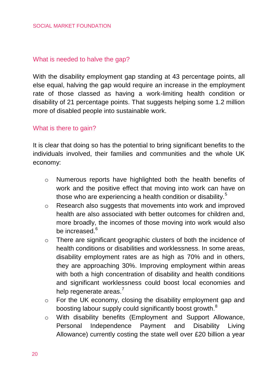## What is needed to halve the gap?

With the disability employment gap standing at 43 percentage points, all else equal, halving the gap would require an increase in the employment rate of those classed as having a work-limiting health condition or disability of 21 percentage points. That suggests helping some 1.2 million more of disabled people into sustainable work.

## What is there to gain?

It is clear that doing so has the potential to bring significant benefits to the individuals involved, their families and communities and the whole UK economy:

- $\circ$  Numerous reports have highlighted both the health benefits of work and the positive effect that moving into work can have on those who are experiencing a health condition or disability.<sup>5</sup>
- o Research also suggests that movements into work and improved health are also associated with better outcomes for children and, more broadly, the incomes of those moving into work would also be increased.<sup>6</sup>
- o There are significant geographic clusters of both the incidence of health conditions or disabilities and worklessness. In some areas, disability employment rates are as high as 70% and in others, they are approaching 30%. Improving employment within areas with both a high concentration of disability and health conditions and significant worklessness could boost local economies and help regenerate areas.<sup>7</sup>
- o For the UK economy, closing the disability employment gap and boosting labour supply could significantly boost growth.<sup>8</sup>
- o With disability benefits (Employment and Support Allowance, Personal Independence Payment and Disability Living Allowance) currently costing the state well over £20 billion a year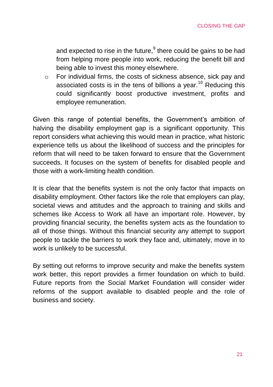and expected to rise in the future, $9$  there could be gains to be had from helping more people into work, reducing the benefit bill and being able to invest this money elsewhere.

o For individual firms, the costs of sickness absence, sick pay and associated costs is in the tens of billions a year.<sup>10</sup> Reducing this could significantly boost productive investment, profits and employee remuneration.

Given this range of potential benefits, the Government's ambition of halving the disability employment gap is a significant opportunity. This report considers what achieving this would mean in practice, what historic experience tells us about the likelihood of success and the principles for reform that will need to be taken forward to ensure that the Government succeeds. It focuses on the system of benefits for disabled people and those with a work-limiting health condition.

It is clear that the benefits system is not the only factor that impacts on disability employment. Other factors like the role that employers can play, societal views and attitudes and the approach to training and skills and schemes like Access to Work all have an important role. However, by providing financial security, the benefits system acts as the foundation to all of those things. Without this financial security any attempt to support people to tackle the barriers to work they face and, ultimately, move in to work is unlikely to be successful.

By setting out reforms to improve security and make the benefits system work better, this report provides a firmer foundation on which to build. Future reports from the Social Market Foundation will consider wider reforms of the support available to disabled people and the role of business and society.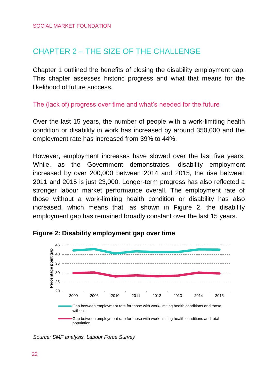# <span id="page-21-0"></span>CHAPTER 2 – THE SIZE OF THE CHALLENGE

Chapter 1 outlined the benefits of closing the disability employment gap. This chapter assesses historic progress and what that means for the likelihood of future success.

# The (lack of) progress over time and what's needed for the future

Over the last 15 years, the number of people with a work-limiting health condition or disability in work has increased by around 350,000 and the employment rate has increased from 39% to 44%.

However, employment increases have slowed over the last five years. While, as the Government demonstrates, disability employment increased by over 200,000 between 2014 and 2015, the rise between 2011 and 2015 is just 23,000. Longer-term progress has also reflected a stronger labour market performance overall. The employment rate of those without a work-limiting health condition or disability has also increased, which means that, as shown in Figure 2, the disability employment gap has remained broadly constant over the last 15 years.



# **Figure 2: Disability employment gap over time**

*Source: SMF analysis, Labour Force Survey*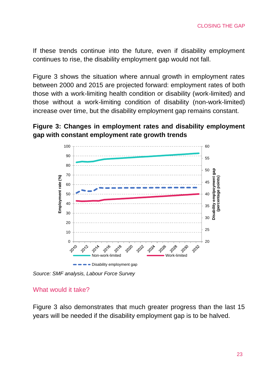If these trends continue into the future, even if disability employment continues to rise, the disability employment gap would not fall.

Figure 3 shows the situation where annual growth in employment rates between 2000 and 2015 are projected forward: employment rates of both those with a work-limiting health condition or disability (work-limited) and those without a work-limiting condition of disability (non-work-limited) increase over time, but the disability employment gap remains constant.

# **Figure 3: Changes in employment rates and disability employment gap with constant employment rate growth trends**



*Source: SMF analysis, Labour Force Survey*

#### What would it take?

Figure 3 also demonstrates that much greater progress than the last 15 years will be needed if the disability employment gap is to be halved.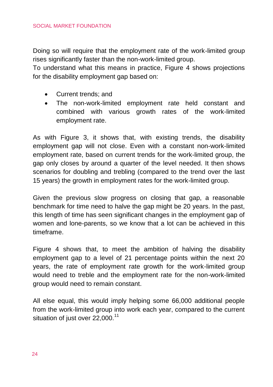Doing so will require that the employment rate of the work-limited group rises significantly faster than the non-work-limited group.

To understand what this means in practice, Figure 4 shows projections for the disability employment gap based on:

- Current trends: and
- The non-work-limited employment rate held constant and combined with various growth rates of the work-limited employment rate.

As with Figure 3, it shows that, with existing trends, the disability employment gap will not close. Even with a constant non-work-limited employment rate, based on current trends for the work-limited group, the gap only closes by around a quarter of the level needed. It then shows scenarios for doubling and trebling (compared to the trend over the last 15 years) the growth in employment rates for the work-limited group.

Given the previous slow progress on closing that gap, a reasonable benchmark for time need to halve the gap might be 20 years. In the past, this length of time has seen significant changes in the employment gap of women and lone-parents, so we know that a lot can be achieved in this timeframe.

Figure 4 shows that, to meet the ambition of halving the disability employment gap to a level of 21 percentage points within the next 20 years, the rate of employment rate growth for the work-limited group would need to treble and the employment rate for the non-work-limited group would need to remain constant.

All else equal, this would imply helping some 66,000 additional people from the work-limited group into work each year, compared to the current situation of just over 22,000.<sup>11</sup>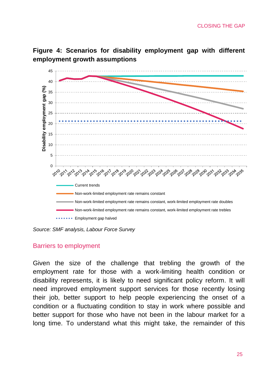**Figure 4: Scenarios for disability employment gap with different employment growth assumptions**



*Source: SMF analysis, Labour Force Survey*

#### Barriers to employment

Given the size of the challenge that trebling the growth of the employment rate for those with a work-limiting health condition or disability represents, it is likely to need significant policy reform. It will need improved employment support services for those recently losing their job, better support to help people experiencing the onset of a condition or a fluctuating condition to stay in work where possible and better support for those who have not been in the labour market for a long time. To understand what this might take, the remainder of this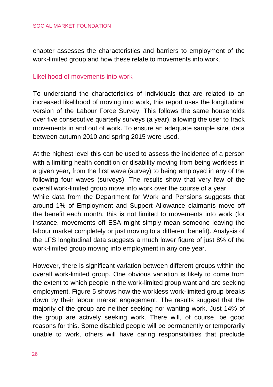chapter assesses the characteristics and barriers to employment of the work-limited group and how these relate to movements into work.

#### Likelihood of movements into work

To understand the characteristics of individuals that are related to an increased likelihood of moving into work, this report uses the longitudinal version of the Labour Force Survey. This follows the same households over five consecutive quarterly surveys (a year), allowing the user to track movements in and out of work. To ensure an adequate sample size, data between autumn 2010 and spring 2015 were used.

At the highest level this can be used to assess the incidence of a person with a limiting health condition or disability moving from being workless in a given year, from the first wave (survey) to being employed in any of the following four waves (surveys). The results show that very few of the overall work-limited group move into work over the course of a year.

While data from the Department for Work and Pensions suggests that around 1% of Employment and Support Allowance claimants move off the benefit each month, this is not limited to movements into work (for instance, movements off ESA might simply mean someone leaving the labour market completely or just moving to a different benefit). Analysis of the LFS longitudinal data suggests a much lower figure of just 8% of the work-limited group moving into employment in any one year.

However, there is significant variation between different groups within the overall work-limited group. One obvious variation is likely to come from the extent to which people in the work-limited group want and are seeking employment. Figure 5 shows how the workless work-limited group breaks down by their labour market engagement. The results suggest that the majority of the group are neither seeking nor wanting work. Just 14% of the group are actively seeking work. There will, of course, be good reasons for this. Some disabled people will be permanently or temporarily unable to work, others will have caring responsibilities that preclude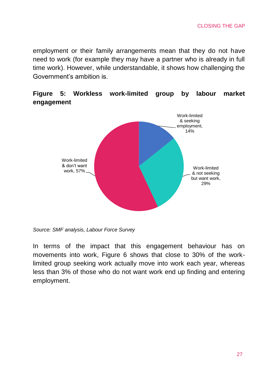employment or their family arrangements mean that they do not have need to work (for example they may have a partner who is already in full time work). However, while understandable, it shows how challenging the Government's ambition is.

# **Figure 5: Workless work-limited group by labour market engagement**



*Source: SMF analysis, Labour Force Survey*

In terms of the impact that this engagement behaviour has on movements into work, Figure 6 shows that close to 30% of the worklimited group seeking work actually move into work each year, whereas less than 3% of those who do not want work end up finding and entering employment.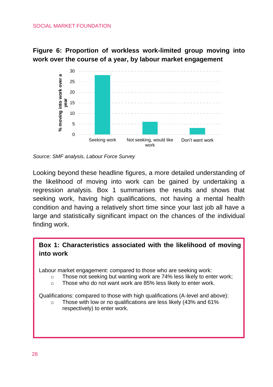#### SOCIAL MARKET FOUNDATION

**Figure 6: Proportion of workless work-limited group moving into work over the course of a year, by labour market engagement**



*Source: SMF analysis, Labour Force Survey*

Looking beyond these headline figures, a more detailed understanding of the likelihood of moving into work can be gained by undertaking a regression analysis. Box 1 summarises the results and shows that seeking work, having high qualifications, not having a mental health condition and having a relatively short time since your last job all have a large and statistically significant impact on the chances of the individual finding work.

# **Box 1: Characteristics associated with the likelihood of moving into work**

Labour market engagement: compared to those who are seeking work:

- $\circ$  Those not seeking but wanting work are 74% less likely to enter work:
- o Those who do not want work are 85% less likely to enter work.

Qualifications: compared to those with high qualifications (A-level and above):

o Those with low or no qualifications are less likely (43% and 61% respectively) to enter work.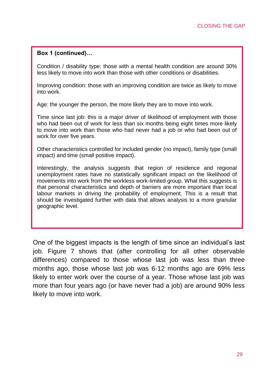#### **Box 1 (continued)…**

Condition / disability type: those with a mental health condition are around 30% less likely to move into work than those with other conditions or disabilities.

Improving condition: those with an improving condition are twice as likely to move into work.

Age: the younger the person, the more likely they are to move into work.

Time since last job: this is a major driver of likelihood of employment with those who had been out of work for less than six months being eight times more likely to move into work than those who had never had a job or who had been out of work for over five years.

Other characteristics controlled for included gender (no impact), family type (small impact) and time (small positive impact).

Interestingly, the analysis suggests that region of residence and regional unemployment rates have no statistically significant impact on the likelihood of movements into work from the workless work-limited group. What this suggests is that personal characteristics and depth of barriers are more important than local labour markets in driving the probability of employment. This is a result that should be investigated further with data that allows analysis to a more granular geographic level.

One of the biggest impacts is the length of time since an individual's last job. Figure 7 shows that (after controlling for all other observable differences) compared to those whose last job was less than three months ago, those whose last job was 6-12 months ago are 69% less likely to enter work over the course of a year. Those whose last job was more than four years ago (or have never had a job) are around 90% less likely to move into work.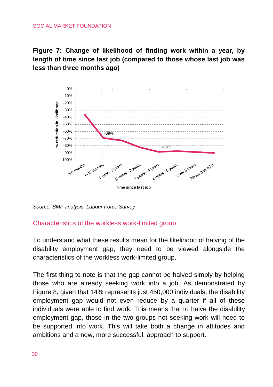#### SOCIAL MARKET FOUNDATION

**Figure 7: Change of likelihood of finding work within a year, by length of time since last job (compared to those whose last job was less than three months ago)**



*Source: SMF analysis, Labour Force Survey*

## Characteristics of the workless work-limited group

To understand what these results mean for the likelihood of halving of the disability employment gap, they need to be viewed alongside the characteristics of the workless work-limited group.

The first thing to note is that the gap cannot be halved simply by helping those who are already seeking work into a job. As demonstrated by Figure 8, given that 14% represents just 450,000 individuals, the disability employment gap would not even reduce by a quarter if all of these individuals were able to find work. This means that to halve the disability employment gap, those in the two groups not seeking work will need to be supported into work. This will take both a change in attitudes and ambitions and a new, more successful, approach to support.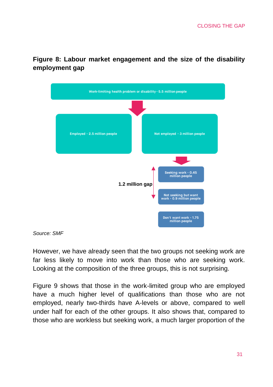

**Figure 8: Labour market engagement and the size of the disability employment gap**

*Source: SMF*

However, we have already seen that the two groups not seeking work are far less likely to move into work than those who are seeking work. Looking at the composition of the three groups, this is not surprising.

Figure 9 shows that those in the work-limited group who are employed have a much higher level of qualifications than those who are not employed, nearly two-thirds have A-levels or above, compared to well under half for each of the other groups. It also shows that, compared to those who are workless but seeking work, a much larger proportion of the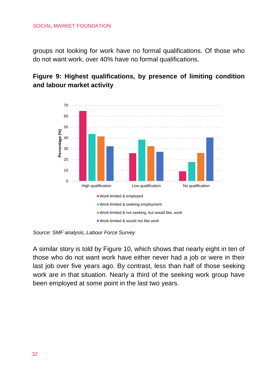#### SOCIAL MARKET FOUNDATION

groups not looking for work have no formal qualifications. Of those who do not want work, over 40% have no formal qualifications.

# **Figure 9: Highest qualifications, by presence of limiting condition and labour market activity**



*Source: SMF analysis, Labour Force Survey*

A similar story is told by Figure 10, which shows that nearly eight in ten of those who do not want work have either never had a job or were in their last job over five years ago. By contrast, less than half of those seeking work are in that situation. Nearly a third of the seeking work group have been employed at some point in the last two years.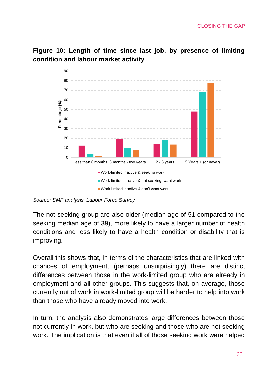**Figure 10: Length of time since last job, by presence of limiting condition and labour market activity**



*Source: SMF analysis, Labour Force Survey*

The not-seeking group are also older (median age of 51 compared to the seeking median age of 39), more likely to have a larger number of health conditions and less likely to have a health condition or disability that is improving.

Overall this shows that, in terms of the characteristics that are linked with chances of employment, (perhaps unsurprisingly) there are distinct differences between those in the work-limited group who are already in employment and all other groups. This suggests that, on average, those currently out of work in work-limited group will be harder to help into work than those who have already moved into work.

In turn, the analysis also demonstrates large differences between those not currently in work, but who are seeking and those who are not seeking work. The implication is that even if all of those seeking work were helped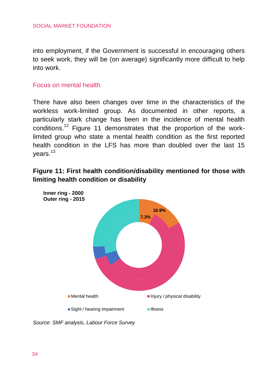into employment, if the Government is successful in encouraging others to seek work, they will be (on average) significantly more difficult to help into work.

## Focus on mental health

There have also been changes over time in the characteristics of the workless work-limited group. As documented in other reports, a particularly stark change has been in the incidence of mental health conditions.<sup>12</sup> Figure 11 demonstrates that the proportion of the worklimited group who state a mental health condition as the first reported health condition in the LFS has more than doubled over the last 15 years.<sup>13</sup>

**Figure 11: First health condition/disability mentioned for those with limiting health condition or disability**



*Source: SMF analysis, Labour Force Survey*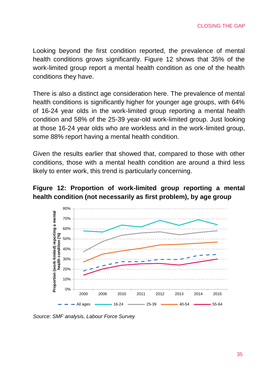Looking beyond the first condition reported, the prevalence of mental health conditions grows significantly. Figure 12 shows that 35% of the work-limited group report a mental health condition as one of the health conditions they have.

There is also a distinct age consideration here. The prevalence of mental health conditions is significantly higher for younger age groups, with 64% of 16-24 year olds in the work-limited group reporting a mental health condition and 58% of the 25-39 year-old work-limited group. Just looking at those 16-24 year olds who are workless and in the work-limited group, some 88% report having a mental health condition.

Given the results earlier that showed that, compared to those with other conditions, those with a mental health condition are around a third less likely to enter work, this trend is particularly concerning.

# **Figure 12: Proportion of work-limited group reporting a mental health condition (not necessarily as first problem), by age group**



*Source: SMF analysis, Labour Force Survey*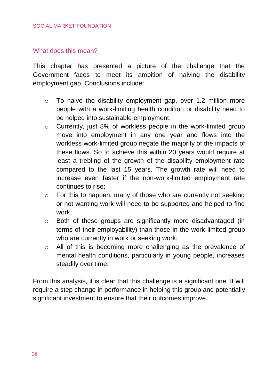## What does this mean?

This chapter has presented a picture of the challenge that the Government faces to meet its ambition of halving the disability employment gap. Conclusions include:

- o To halve the disability employment gap, over 1.2 million more people with a work-limiting health condition or disability need to be helped into sustainable employment;
- o Currently, just 8% of workless people in the work-limited group move into employment in any one year and flows into the workless work-limited group negate the majority of the impacts of these flows. So to achieve this within 20 years would require at least a trebling of the growth of the disability employment rate compared to the last 15 years. The growth rate will need to increase even faster if the non-work-limited employment rate continues to rise;
- o For this to happen, many of those who are currently not seeking or not wanting work will need to be supported and helped to find work;
- o Both of these groups are significantly more disadvantaged (in terms of their employability) than those in the work-limited group who are currently in work or seeking work;
- o All of this is becoming more challenging as the prevalence of mental health conditions, particularly in young people, increases steadily over time.

From this analysis, it is clear that this challenge is a significant one. It will require a step change in performance in helping this group and potentially significant investment to ensure that their outcomes improve.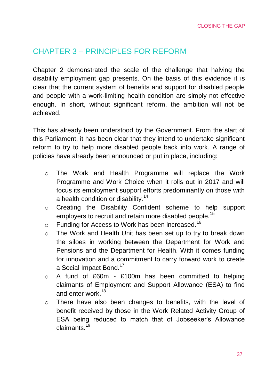# <span id="page-36-0"></span>CHAPTER 3 – PRINCIPLES FOR REFORM

Chapter 2 demonstrated the scale of the challenge that halving the disability employment gap presents. On the basis of this evidence it is clear that the current system of benefits and support for disabled people and people with a work-limiting health condition are simply not effective enough. In short, without significant reform, the ambition will not be achieved.

This has already been understood by the Government. From the start of this Parliament, it has been clear that they intend to undertake significant reform to try to help more disabled people back into work. A range of policies have already been announced or put in place, including:

- o The Work and Health Programme will replace the Work Programme and Work Choice when it rolls out in 2017 and will focus its employment support efforts predominantly on those with a health condition or disability.<sup>14</sup>
- o Creating the Disability Confident scheme to help support employers to recruit and retain more disabled people.<sup>15</sup>
- $\circ$  Funding for Access to Work has been increased.<sup>16</sup>
- o The Work and Health Unit has been set up to try to break down the siloes in working between the Department for Work and Pensions and the Department for Health. With it comes funding for innovation and a commitment to carry forward work to create a Social Impact Bond.<sup>17</sup>
- o A fund of £60m £100m has been committed to helping claimants of Employment and Support Allowance (ESA) to find and enter work.<sup>18</sup>
- o There have also been changes to benefits, with the level of benefit received by those in the Work Related Activity Group of ESA being reduced to match that of Jobseeker's Allowance claimants<sup>19</sup>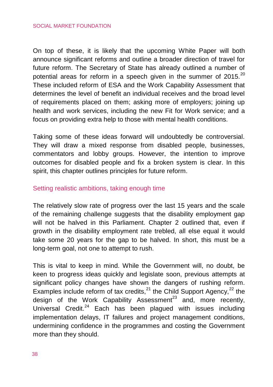On top of these, it is likely that the upcoming White Paper will both announce significant reforms and outline a broader direction of travel for future reform. The Secretary of State has already outlined a number of potential areas for reform in a speech given in the summer of  $2015$ .<sup>20</sup> These included reform of ESA and the Work Capability Assessment that determines the level of benefit an individual receives and the broad level of requirements placed on them; asking more of employers; joining up health and work services, including the new Fit for Work service; and a focus on providing extra help to those with mental health conditions.

Taking some of these ideas forward will undoubtedly be controversial. They will draw a mixed response from disabled people, businesses, commentators and lobby groups. However, the intention to improve outcomes for disabled people and fix a broken system is clear. In this spirit, this chapter outlines principles for future reform.

## Setting realistic ambitions, taking enough time

The relatively slow rate of progress over the last 15 years and the scale of the remaining challenge suggests that the disability employment gap will not be halved in this Parliament. Chapter 2 outlined that, even if growth in the disability employment rate trebled, all else equal it would take some 20 years for the gap to be halved. In short, this must be a long-term goal, not one to attempt to rush.

This is vital to keep in mind. While the Government will, no doubt, be keen to progress ideas quickly and legislate soon, previous attempts at significant policy changes have shown the dangers of rushing reform. Examples include reform of tax credits, $^{21}$  the Child Support Agency, $^{22}$  the design of the Work Capability Assessment<sup>23</sup> and, more recently, Universal Credit.<sup>24</sup> Each has been plagued with issues including implementation delays, IT failures and project management conditions, undermining confidence in the programmes and costing the Government more than they should.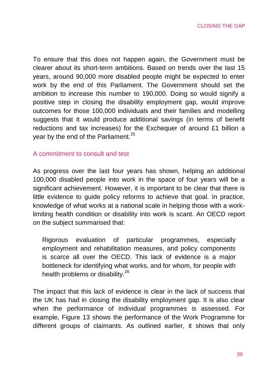To ensure that this does not happen again, the Government must be clearer about its short-term ambitions. Based on trends over the last 15 years, around 90,000 more disabled people might be expected to enter work by the end of this Parliament. The Government should set the ambition to increase this number to 190,000. Doing so would signify a positive step in closing the disability employment gap, would improve outcomes for those 100,000 individuals and their families and modelling suggests that it would produce additional savings (in terms of benefit reductions and tax increases) for the Exchequer of around £1 billion a vear by the end of the Parliament. $25$ 

## A commitment to consult and test

As progress over the last four years has shown, helping an additional 100,000 disabled people into work in the space of four years will be a significant achievement. However, it is important to be clear that there is little evidence to quide policy reforms to achieve that goal. In practice, knowledge of what works at a national scale in helping those with a worklimiting health condition or disability into work is scant. An OECD report on the subject summarised that:

Rigorous evaluation of particular programmes, especially employment and rehabilitation measures, and policy components is scarce all over the OECD. This lack of evidence is a major bottleneck for identifying what works, and for whom, for people with health problems or disability.<sup>26</sup>

The impact that this lack of evidence is clear in the lack of success that the UK has had in closing the disability employment gap. It is also clear when the performance of individual programmes is assessed. For example, Figure 13 shows the performance of the Work Programme for different groups of claimants. As outlined earlier, it shows that only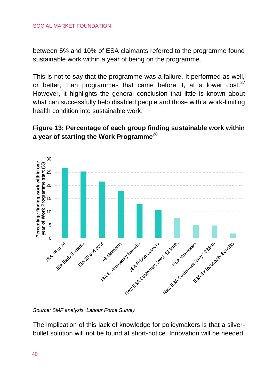between 5% and 10% of ESA claimants referred to the programme found sustainable work within a year of being on the programme.

This is not to say that the programme was a failure. It performed as well, or better, than programmes that came before it, at a lower cost. $27$ However, it highlights the general conclusion that little is known about what can successfully help disabled people and those with a work-limiting health condition into sustainable work.

# **Figure 13: Percentage of each group finding sustainable work within a year of starting the Work Programme<sup>28</sup>**



*Source: SMF analysis, Labour Force Survey* 

The implication of this lack of knowledge for policymakers is that a silverbullet solution will not be found at short-notice. Innovation will be needed,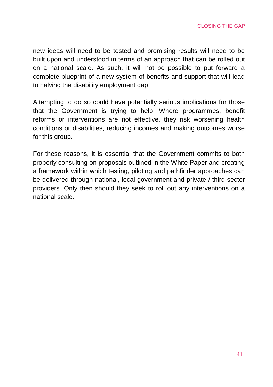new ideas will need to be tested and promising results will need to be built upon and understood in terms of an approach that can be rolled out on a national scale. As such, it will not be possible to put forward a complete blueprint of a new system of benefits and support that will lead to halving the disability employment gap.

Attempting to do so could have potentially serious implications for those that the Government is trying to help. Where programmes, benefit reforms or interventions are not effective, they risk worsening health conditions or disabilities, reducing incomes and making outcomes worse for this group.

For these reasons, it is essential that the Government commits to both properly consulting on proposals outlined in the White Paper and creating a framework within which testing, piloting and pathfinder approaches can be delivered through national, local government and private / third sector providers. Only then should they seek to roll out any interventions on a national scale.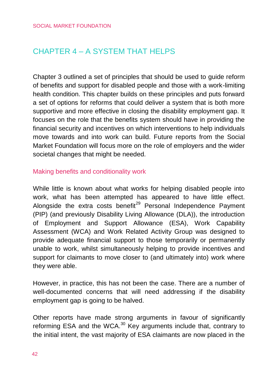# <span id="page-41-0"></span>CHAPTER 4 – A SYSTEM THAT HELPS

Chapter 3 outlined a set of principles that should be used to guide reform of benefits and support for disabled people and those with a work-limiting health condition. This chapter builds on these principles and puts forward a set of options for reforms that could deliver a system that is both more supportive and more effective in closing the disability employment gap. It focuses on the role that the benefits system should have in providing the financial security and incentives on which interventions to help individuals move towards and into work can build. Future reports from the Social Market Foundation will focus more on the role of employers and the wider societal changes that might be needed.

## Making benefits and conditionality work

While little is known about what works for helping disabled people into work, what has been attempted has appeared to have little effect. Alongside the extra costs benefit<sup>29</sup> Personal Independence Payment (PIP) (and previously Disability Living Allowance (DLA)), the introduction of Employment and Support Allowance (ESA), Work Capability Assessment (WCA) and Work Related Activity Group was designed to provide adequate financial support to those temporarily or permanently unable to work, whilst simultaneously helping to provide incentives and support for claimants to move closer to (and ultimately into) work where they were able.

However, in practice, this has not been the case. There are a number of well-documented concerns that will need addressing if the disability employment gap is going to be halved.

Other reports have made strong arguments in favour of significantly reforming ESA and the WCA.<sup>30</sup> Key arguments include that, contrary to the initial intent, the vast majority of ESA claimants are now placed in the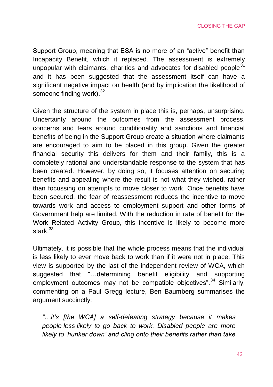Support Group, meaning that ESA is no more of an "active" benefit than Incapacity Benefit, which it replaced. The assessment is extremely unpopular with claimants, charities and advocates for disabled people $31$ and it has been suggested that the assessment itself can have a significant negative impact on health (and by implication the likelihood of someone finding work).<sup>32</sup>

Given the structure of the system in place this is, perhaps, unsurprising. Uncertainty around the outcomes from the assessment process, concerns and fears around conditionality and sanctions and financial benefits of being in the Support Group create a situation where claimants are encouraged to aim to be placed in this group. Given the greater financial security this delivers for them and their family, this is a completely rational and understandable response to the system that has been created. However, by doing so, it focuses attention on securing benefits and appealing where the result is not what they wished, rather than focussing on attempts to move closer to work. Once benefits have been secured, the fear of reassessment reduces the incentive to move towards work and access to employment support and other forms of Government help are limited. With the reduction in rate of benefit for the Work Related Activity Group, this incentive is likely to become more stark $33$ 

Ultimately, it is possible that the whole process means that the individual is less likely to ever move back to work than if it were not in place. This view is supported by the last of the independent review of WCA, which suggested that "…determining benefit eligibility and supporting employment outcomes may not be compatible objectives".<sup>34</sup> Similarly, commenting on a Paul Gregg lecture, Ben Baumberg summarises the argument succinctly:

*"…it's [the WCA] a self-defeating strategy because it makes people less likely to go back to work. Disabled people are more likely to 'hunker down' and cling onto their benefits rather than take*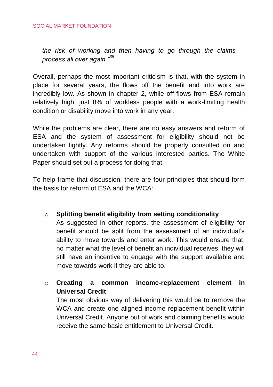*the risk of working and then having to go through the claims process all over again."<sup>35</sup>*

Overall, perhaps the most important criticism is that, with the system in place for several years, the flows off the benefit and into work are incredibly low. As shown in chapter 2, while off-flows from ESA remain relatively high, just 8% of workless people with a work-limiting health condition or disability move into work in any year.

While the problems are clear, there are no easy answers and reform of ESA and the system of assessment for eligibility should not be undertaken lightly. Any reforms should be properly consulted on and undertaken with support of the various interested parties. The White Paper should set out a process for doing that.

To help frame that discussion, there are four principles that should form the basis for reform of ESA and the WCA:

o **Splitting benefit eligibility from setting conditionality**

As suggested in other reports, the assessment of eligibility for benefit should be split from the assessment of an individual's ability to move towards and enter work. This would ensure that, no matter what the level of benefit an individual receives, they will still have an incentive to engage with the support available and move towards work if they are able to.

o **Creating a common income-replacement element in Universal Credit**

The most obvious way of delivering this would be to remove the WCA and create one aligned income replacement benefit within Universal Credit. Anyone out of work and claiming benefits would receive the same basic entitlement to Universal Credit.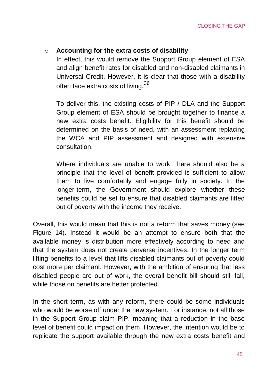# o **Accounting for the extra costs of disability**

In effect, this would remove the Support Group element of ESA and align benefit rates for disabled and non-disabled claimants in Universal Credit. However, it is clear that those with a disability often face extra costs of living.<sup>36</sup>

To deliver this, the existing costs of PIP / DLA and the Support Group element of ESA should be brought together to finance a new extra costs benefit. Eligibility for this benefit should be determined on the basis of need, with an assessment replacing the WCA and PIP assessment and designed with extensive consultation.

Where individuals are unable to work, there should also be a principle that the level of benefit provided is sufficient to allow them to live comfortably and engage fully in society. In the longer-term, the Government should explore whether these benefits could be set to ensure that disabled claimants are lifted out of poverty with the income they receive.

Overall, this would mean that this is not a reform that saves money (see Figure 14). Instead it would be an attempt to ensure both that the available money is distribution more effectively according to need and that the system does not create perverse incentives. In the longer term lifting benefits to a level that lifts disabled claimants out of poverty could cost more per claimant. However, with the ambition of ensuring that less disabled people are out of work, the overall benefit bill should still fall, while those on benefits are better protected.

In the short term, as with any reform, there could be some individuals who would be worse off under the new system. For instance, not all those in the Support Group claim PIP, meaning that a reduction in the base level of benefit could impact on them. However, the intention would be to replicate the support available through the new extra costs benefit and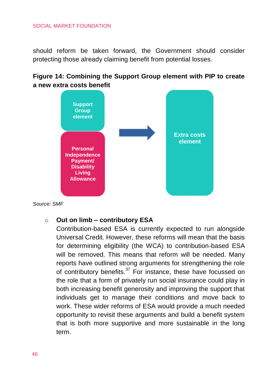#### SOCIAL MARKET FOUNDATION

should reform be taken forward, the Government should consider protecting those already claiming benefit from potential losses.

# **Figure 14: Combining the Support Group element with PIP to create a new extra costs benefit**



*Source: SMF* 

#### o **Out on limb – contributory ESA**

Contribution-based ESA is currently expected to run alongside Universal Credit. However, these reforms will mean that the basis for determining eligibility (the WCA) to contribution-based ESA will be removed. This means that reform will be needed. Many reports have outlined strong arguments for strengthening the role of contributory benefits.<sup>37</sup> For instance, these have focussed on the role that a form of privately run social insurance could play in both increasing benefit generosity and improving the support that individuals get to manage their conditions and move back to work. These wider reforms of ESA would provide a much needed opportunity to revisit these arguments and build a benefit system that is both more supportive and more sustainable in the long term.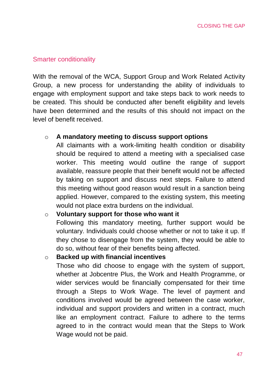#### Smarter conditionality

With the removal of the WCA, Support Group and Work Related Activity Group, a new process for understanding the ability of individuals to engage with employment support and take steps back to work needs to be created. This should be conducted after benefit eligibility and levels have been determined and the results of this should not impact on the level of benefit received.

## o **A mandatory meeting to discuss support options**

All claimants with a work-limiting health condition or disability should be required to attend a meeting with a specialised case worker. This meeting would outline the range of support available, reassure people that their benefit would not be affected by taking on support and discuss next steps. Failure to attend this meeting without good reason would result in a sanction being applied. However, compared to the existing system, this meeting would not place extra burdens on the individual.

# o **Voluntary support for those who want it**

Following this mandatory meeting, further support would be voluntary. Individuals could choose whether or not to take it up. If they chose to disengage from the system, they would be able to do so, without fear of their benefits being affected.

#### o **Backed up with financial incentives**

Those who did choose to engage with the system of support, whether at Jobcentre Plus, the Work and Health Programme, or wider services would be financially compensated for their time through a Steps to Work Wage. The level of payment and conditions involved would be agreed between the case worker, individual and support providers and written in a contract, much like an employment contract. Failure to adhere to the terms agreed to in the contract would mean that the Steps to Work Wage would not be paid.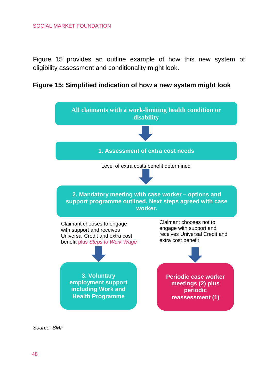#### SOCIAL MARKET FOUNDATION

Figure 15 provides an outline example of how this new system of eligibility assessment and conditionality might look.





*Source: SMF*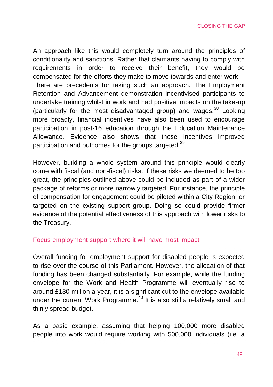An approach like this would completely turn around the principles of conditionality and sanctions. Rather that claimants having to comply with requirements in order to receive their benefit, they would be compensated for the efforts they make to move towards and enter work. There are precedents for taking such an approach. The Employment Retention and Advancement demonstration incentivised participants to undertake training whilst in work and had positive impacts on the take-up (particularly for the most disadvantaged group) and wages.<sup>38</sup> Looking more broadly, financial incentives have also been used to encourage participation in post-16 education through the Education Maintenance Allowance. Evidence also shows that these incentives improved participation and outcomes for the groups targeted.<sup>39</sup>

However, building a whole system around this principle would clearly come with fiscal (and non-fiscal) risks. If these risks we deemed to be too great, the principles outlined above could be included as part of a wider package of reforms or more narrowly targeted. For instance, the principle of compensation for engagement could be piloted within a City Region, or targeted on the existing support group. Doing so could provide firmer evidence of the potential effectiveness of this approach with lower risks to the Treasury.

## Focus employment support where it will have most impact

Overall funding for employment support for disabled people is expected to rise over the course of this Parliament. However, the allocation of that funding has been changed substantially. For example, while the funding envelope for the Work and Health Programme will eventually rise to around £130 million a year, it is a significant cut to the envelope available under the current Work Programme.<sup>40</sup> It is also still a relatively small and thinly spread budget.

As a basic example, assuming that helping 100,000 more disabled people into work would require working with 500,000 individuals (i.e. a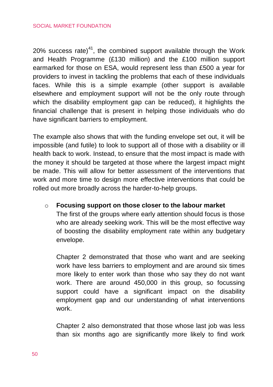20% success rate) $41$ , the combined support available through the Work and Health Programme (£130 million) and the £100 million support earmarked for those on ESA, would represent less than £500 a year for providers to invest in tackling the problems that each of these individuals faces. While this is a simple example (other support is available elsewhere and employment support will not be the only route through which the disability employment gap can be reduced), it highlights the financial challenge that is present in helping those individuals who do have significant barriers to employment.

The example also shows that with the funding envelope set out, it will be impossible (and futile) to look to support all of those with a disability or ill health back to work. Instead, to ensure that the most impact is made with the money it should be targeted at those where the largest impact might be made. This will allow for better assessment of the interventions that work and more time to design more effective interventions that could be rolled out more broadly across the harder-to-help groups.

# o **Focusing support on those closer to the labour market**

The first of the groups where early attention should focus is those who are already seeking work. This will be the most effective way of boosting the disability employment rate within any budgetary envelope.

Chapter 2 demonstrated that those who want and are seeking work have less barriers to employment and are around six times more likely to enter work than those who say they do not want work. There are around 450,000 in this group, so focussing support could have a significant impact on the disability employment gap and our understanding of what interventions work.

Chapter 2 also demonstrated that those whose last job was less than six months ago are significantly more likely to find work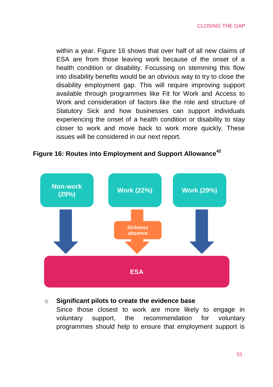within a year. Figure 16 shows that over half of all new claims of ESA are from those leaving work because of the onset of a health condition or disability. Focussing on stemming this flow into disability benefits would be an obvious way to try to close the disability employment gap. This will require improving support available through programmes like Fit for Work and Access to Work and consideration of factors like the role and structure of Statutory Sick and how businesses can support individuals experiencing the onset of a health condition or disability to stay closer to work and move back to work more quickly. These issues will be considered in our next report.



# **Figure 16: Routes into Employment and Support Allowance<sup>42</sup>**

#### o **Significant pilots to create the evidence base**

Since those closest to work are more likely to engage in voluntary support, the recommendation for voluntary programmes should help to ensure that employment support is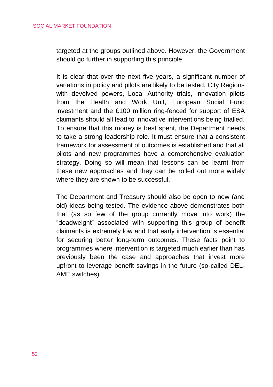targeted at the groups outlined above. However, the Government should go further in supporting this principle.

It is clear that over the next five years, a significant number of variations in policy and pilots are likely to be tested. City Regions with devolved powers, Local Authority trials, innovation pilots from the Health and Work Unit, European Social Fund investment and the £100 million ring-fenced for support of ESA claimants should all lead to innovative interventions being trialled. To ensure that this money is best spent, the Department needs to take a strong leadership role. It must ensure that a consistent framework for assessment of outcomes is established and that all pilots and new programmes have a comprehensive evaluation strategy. Doing so will mean that lessons can be learnt from these new approaches and they can be rolled out more widely where they are shown to be successful.

The Department and Treasury should also be open to new (and old) ideas being tested. The evidence above demonstrates both that (as so few of the group currently move into work) the "deadweight" associated with supporting this group of benefit claimants is extremely low and that early intervention is essential for securing better long-term outcomes. These facts point to programmes where intervention is targeted much earlier than has previously been the case and approaches that invest more upfront to leverage benefit savings in the future (so-called DEL-AME switches).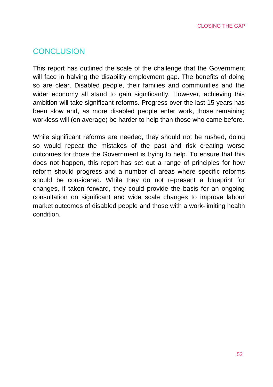# <span id="page-52-0"></span>**CONCLUSION**

This report has outlined the scale of the challenge that the Government will face in halving the disability employment gap. The benefits of doing so are clear. Disabled people, their families and communities and the wider economy all stand to gain significantly. However, achieving this ambition will take significant reforms. Progress over the last 15 years has been slow and, as more disabled people enter work, those remaining workless will (on average) be harder to help than those who came before.

While significant reforms are needed, they should not be rushed, doing so would repeat the mistakes of the past and risk creating worse outcomes for those the Government is trying to help. To ensure that this does not happen, this report has set out a range of principles for how reform should progress and a number of areas where specific reforms should be considered. While they do not represent a blueprint for changes, if taken forward, they could provide the basis for an ongoing consultation on significant and wide scale changes to improve labour market outcomes of disabled people and those with a work-limiting health condition.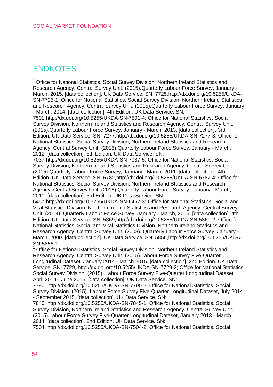# **ENDNOTES**

<sup>1</sup> Office for National Statistics. Social Survey Division, Northern Ireland Statistics and Research Agency. Central Survey Unit. (2015).Quarterly Labour Force Survey, January - March, 2015. [data collection]. UK Data Service. SN: 7725[,http://dx.doi.org/10.5255/UKDA-](https://webmail.smf.co.uk/owa/redir.aspx?C=f84266c97ff049b798118232c45302dd&URL=http%3a%2f%2fdx.doi.org%2f10.5255%2fUKDA-SN-7725-1)[SN-7725-1;](https://webmail.smf.co.uk/owa/redir.aspx?C=f84266c97ff049b798118232c45302dd&URL=http%3a%2f%2fdx.doi.org%2f10.5255%2fUKDA-SN-7725-1) Office for National Statistics. Social Survey Division, Northern Ireland Statistics and Research Agency. Central Survey Unit. (2015).Quarterly Labour Force Survey, January - March, 2014. [data collection]. 4th Edition. UK Data Service. SN:

750[1,http://dx.doi.org/10.5255/UKDA-SN-7501-4;](https://webmail.smf.co.uk/owa/redir.aspx?C=f84266c97ff049b798118232c45302dd&URL=http%3a%2f%2fdx.doi.org%2f10.5255%2fUKDA-SN-7501-4) Office for National Statistics. Social Survey Division, Northern Ireland Statistics and Research Agency. Central Survey Unit. (2015).Quarterly Labour Force Survey, January - March, 2013. [data collection]. 3rd Edition. UK Data Service. SN: 7277[,http://dx.doi.org/10.5255/UKDA-SN-7277-3;](https://webmail.smf.co.uk/owa/redir.aspx?C=f84266c97ff049b798118232c45302dd&URL=http%3a%2f%2fdx.doi.org%2f10.5255%2fUKDA-SN-7277-3) Office for National Statistics. Social Survey Division, Northern Ireland Statistics and Research Agency. Central Survey Unit. (2015).Quarterly Labour Force Survey, January - March, 2012. [data collection]. 5th Edition. UK Data Service. SN:

703[7,http://dx.doi.org/10.5255/UKDA-SN-7037-5;](https://webmail.smf.co.uk/owa/redir.aspx?C=f84266c97ff049b798118232c45302dd&URL=http%3a%2f%2fdx.doi.org%2f10.5255%2fUKDA-SN-7037-5) Office for National Statistics. Social Survey Division, Northern Ireland Statistics and Research Agency. Central Survey Unit. (2015).Quarterly Labour Force Survey, January - March, 2011. [data collection]. 4th Edition. UK Data Service. SN: 6782[,http://dx.doi.org/10.5255/UKDA-SN-6782-4;](https://webmail.smf.co.uk/owa/redir.aspx?C=f84266c97ff049b798118232c45302dd&URL=http%3a%2f%2fdx.doi.org%2f10.5255%2fUKDA-SN-6782-4) Office for National Statistics. Social Survey Division, Northern Ireland Statistics and Research Agency. Central Survey Unit. (2015).Quarterly Labour Force Survey, January - March, 2010. [data collection]. 3rd Edition. UK Data Service. SN:

645[7,http://dx.doi.org/10.5255/UKDA-SN-6457-3;](https://webmail.smf.co.uk/owa/redir.aspx?C=f84266c97ff049b798118232c45302dd&URL=http%3a%2f%2fdx.doi.org%2f10.5255%2fUKDA-SN-6457-3) Office for National Statistics. Social and Vital Statistics Division, Northern Ireland Statistics and Research Agency. Central Survey Unit. (2014). Quarterly Labour Force Survey, January - March, 2006. [data collection]. 4th Edition. UK Data Service. SN: 5369[,http://dx.doi.org/10.5255/UKDA-SN-5369-2;](https://webmail.smf.co.uk/owa/redir.aspx?C=f84266c97ff049b798118232c45302dd&URL=http%3a%2f%2fdx.doi.org%2f10.5255%2fUKDA-SN-5369-2) Office for National Statistics. Social and Vital Statistics Division, Northern Ireland Statistics and Research Agency. Central Survey Unit. (2008). Quarterly Labour Force Survey, January - March, 2000. [data collection]. UK Data Service. SN: 5856[,http://dx.doi.org/10.5255/UKDA-](https://webmail.smf.co.uk/owa/redir.aspx?C=f84266c97ff049b798118232c45302dd&URL=http%3a%2f%2fdx.doi.org%2f10.5255%2fUKDA-SN-5856-1)[SN-5856-1.](https://webmail.smf.co.uk/owa/redir.aspx?C=f84266c97ff049b798118232c45302dd&URL=http%3a%2f%2fdx.doi.org%2f10.5255%2fUKDA-SN-5856-1)

<sup>2</sup> Office for National Statistics. Social Survey Division, Northern Ireland Statistics and Research Agency. Central Survey Unit. (2015).Labour Force Survey Five-Quarter Longitudinal Dataset, January 2014 - March 2015. [data collection]. 2nd Edition. UK Data Service. SN: 7729, [http://dx.doi.org/10.5255/UKDA-SN-7729-2;](https://webmail.smf.co.uk/owa/redir.aspx?C=f84266c97ff049b798118232c45302dd&URL=http%3a%2f%2fdx.doi.org%2f10.5255%2fUKDA-SN-7729-2) Office for National Statistics. Social Survey Division. (2015). Labour Force Survey Five-Quarter Longitudinal Dataset, April 2014 - June 2015. [data collection]. UK Data Service. SN:

7790, [http://dx.doi.org/10.5255/UKDA-SN-7790-2;](https://webmail.smf.co.uk/owa/redir.aspx?C=f84266c97ff049b798118232c45302dd&URL=http%3a%2f%2fdx.doi.org%2f10.5255%2fUKDA-SN-7790-2) Office for National Statistics. Social Survey Division. (2015). Labour Force Survey Five-Quarter Longitudinal Dataset, July 2014 - September 2015. [data collection]. UK Data Service. SN:

7845, [http://dx.doi.org/10.5255/UKDA-SN-7845-1;](https://webmail.smf.co.uk/owa/redir.aspx?C=f84266c97ff049b798118232c45302dd&URL=http%3a%2f%2fdx.doi.org%2f10.5255%2fUKDA-SN-7845-1) Office for National Statistics. Social Survey Division, Northern Ireland Statistics and Research Agency. Central Survey Unit. (2015).Labour Force Survey Five-Quarter Longitudinal Dataset, January 2013 - March 2014. [data collection]. 2nd Edition. UK Data Service. SN:

7504, [http://dx.doi.org/10.5255/UKDA-SN-7504-2;](https://webmail.smf.co.uk/owa/redir.aspx?C=f84266c97ff049b798118232c45302dd&URL=http%3a%2f%2fdx.doi.org%2f10.5255%2fUKDA-SN-7504-2) Office for National Statistics. Social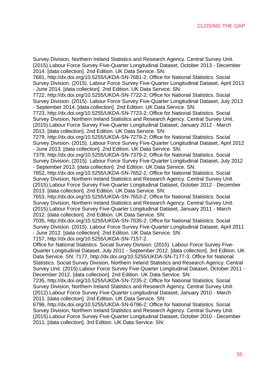Survey Division, Northern Ireland Statistics and Research Agency. Central Survey Unit. (2015).Labour Force Survey Five-Quarter Longitudinal Dataset, October 2013 - December 2014. [data collection]. 2nd Edition. UK Data Service. SN:

7681, [http://dx.doi.org/10.5255/UKDA-SN-7681-2;](https://webmail.smf.co.uk/owa/redir.aspx?C=f84266c97ff049b798118232c45302dd&URL=http%3a%2f%2fdx.doi.org%2f10.5255%2fUKDA-SN-7681-2) Office for National Statistics. Social Survey Division. (2015). Labour Force Survey Five-Quarter Longitudinal Dataset, April 2013 - June 2014. [data collection]. 2nd Edition. UK Data Service. SN:

7722, [http://dx.doi.org/10.5255/UKDA-SN-7722-2;](https://webmail.smf.co.uk/owa/redir.aspx?C=f84266c97ff049b798118232c45302dd&URL=http%3a%2f%2fdx.doi.org%2f10.5255%2fUKDA-SN-7722-2) Office for National Statistics. Social Survey Division. (2015). Labour Force Survey Five-Quarter Longitudinal Dataset, July 2013 - September 2014. [data collection]. 2nd Edition. UK Data Service. SN:

7723, [http://dx.doi.org/10.5255/UKDA-SN-7723-2;](https://webmail.smf.co.uk/owa/redir.aspx?C=f84266c97ff049b798118232c45302dd&URL=http%3a%2f%2fdx.doi.org%2f10.5255%2fUKDA-SN-7723-2) Office for National Statistics. Social Survey Division, Northern Ireland Statistics and Research Agency. Central Survey Unit. (2015).Labour Force Survey Five-Quarter Longitudinal Dataset, January 2012 - March 2013. [data collection]. 2nd Edition. UK Data Service. SN:

7279, [http://dx.doi.org/10.5255/UKDA-SN-7279-2;](https://webmail.smf.co.uk/owa/redir.aspx?C=f84266c97ff049b798118232c45302dd&URL=http%3a%2f%2fdx.doi.org%2f10.5255%2fUKDA-SN-7279-2) Office for National Statistics. Social Survey Division. (2015). Labour Force Survey Five-Quarter Longitudinal Dataset, April 2012 - June 2013. [data collection]. 2nd Edition. UK Data Service. SN:

7379, [http://dx.doi.org/10.5255/UKDA-SN-7379-2;](https://webmail.smf.co.uk/owa/redir.aspx?C=f84266c97ff049b798118232c45302dd&URL=http%3a%2f%2fdx.doi.org%2f10.5255%2fUKDA-SN-7379-2) Office for National Statistics. Social Survey Division. (2015). Labour Force Survey Five-Quarter Longitudinal Dataset, July 2012 - September 2013. [data collection]. 2nd Edition. UK Data Service. SN:

7652, [http://dx.doi.org/10.5255/UKDA-SN-7652-2;](https://webmail.smf.co.uk/owa/redir.aspx?C=f84266c97ff049b798118232c45302dd&URL=http%3a%2f%2fdx.doi.org%2f10.5255%2fUKDA-SN-7652-2) Office for National Statistics. Social Survey Division, Northern Ireland Statistics and Research Agency. Central Survey Unit. (2015).Labour Force Survey Five-Quarter Longitudinal Dataset, October 2012 - December 2013. [data collection]. 2nd Edition. UK Data Service. SN:

7653, [http://dx.doi.org/10.5255/UKDA-SN-7653-2;](https://webmail.smf.co.uk/owa/redir.aspx?C=f84266c97ff049b798118232c45302dd&URL=http%3a%2f%2fdx.doi.org%2f10.5255%2fUKDA-SN-7653-2) Office for National Statistics. Social Survey Division, Northern Ireland Statistics and Research Agency. Central Survey Unit. (2015).Labour Force Survey Five-Quarter Longitudinal Dataset, January 2011 - March 2012. [data collection]. 2nd Edition. UK Data Service. SN:

7035, [http://dx.doi.org/10.5255/UKDA-SN-7035-2;](https://webmail.smf.co.uk/owa/redir.aspx?C=f84266c97ff049b798118232c45302dd&URL=http%3a%2f%2fdx.doi.org%2f10.5255%2fUKDA-SN-7035-2) Office for National Statistics. Social Survey Division. (2015). Labour Force Survey Five-Quarter Longitudinal Dataset, April 2011 - June 2012. [data collection]. 2nd Edition. UK Data Service. SN:

7157, [http://dx.doi.org/10.5255/UKDA-SN-7157-2.](https://webmail.smf.co.uk/owa/redir.aspx?C=f84266c97ff049b798118232c45302dd&URL=http%3a%2f%2fdx.doi.org%2f10.5255%2fUKDA-SN-7157-2)

Office for National Statistics. Social Survey Division. (2015). Labour Force Survey Five-Quarter Longitudinal Dataset, July 2011 - September 2012. [data collection]. 3rd Edition. UK Data Service. SN: 7177, [http://dx.doi.org/10.5255/UKDA-SN-7177-3;](https://webmail.smf.co.uk/owa/redir.aspx?C=f84266c97ff049b798118232c45302dd&URL=http%3a%2f%2fdx.doi.org%2f10.5255%2fUKDA-SN-7177-3) Office for National Statistics. Social Survey Division, Northern Ireland Statistics and Research Agency. Central Survey Unit. (2015).Labour Force Survey Five-Quarter Longitudinal Dataset, October 2011 - December 2012. [data collection]. 2nd Edition. UK Data Service. SN:

7235, [http://dx.doi.org/10.5255/UKDA-SN-7235-2;](https://webmail.smf.co.uk/owa/redir.aspx?C=f84266c97ff049b798118232c45302dd&URL=http%3a%2f%2fdx.doi.org%2f10.5255%2fUKDA-SN-7235-2) Office for National Statistics. Social Survey Division, Northern Ireland Statistics and Research Agency. Central Survey Unit. (2012).Labour Force Survey Five-Quarter Longitudinal Dataset, January 2010 - March 2011. [data collection]. 2nd Edition. UK Data Service. SN:

6796, [http://dx.doi.org/10.5255/UKDA-SN-6796-2;](https://webmail.smf.co.uk/owa/redir.aspx?C=f84266c97ff049b798118232c45302dd&URL=http%3a%2f%2fdx.doi.org%2f10.5255%2fUKDA-SN-6796-2) Office for National Statistics. Social Survey Division, Northern Ireland Statistics and Research Agency. Central Survey Unit. (2015).Labour Force Survey Five-Quarter Longitudinal Dataset, October 2010 - December 2011. [data collection]. 3rd Edition. UK Data Service. SN: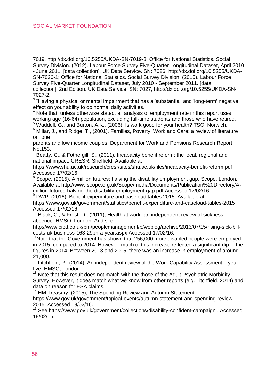7019, [http://dx.doi.org/10.5255/UKDA-SN-7019-3;](https://webmail.smf.co.uk/owa/redir.aspx?C=f84266c97ff049b798118232c45302dd&URL=http%3a%2f%2fdx.doi.org%2f10.5255%2fUKDA-SN-7019-3) Office for National Statistics. Social Survey Division. (2012). Labour Force Survey Five-Quarter Longitudinal Dataset, April 2010 - June 2011. [data collection]. UK Data Service. SN: 7026, [http://dx.doi.org/10.5255/UKDA-](https://webmail.smf.co.uk/owa/redir.aspx?C=f84266c97ff049b798118232c45302dd&URL=http%3a%2f%2fdx.doi.org%2f10.5255%2fUKDA-SN-7026-1)[SN-7026-1;](https://webmail.smf.co.uk/owa/redir.aspx?C=f84266c97ff049b798118232c45302dd&URL=http%3a%2f%2fdx.doi.org%2f10.5255%2fUKDA-SN-7026-1) Office for National Statistics. Social Survey Division. (2015). Labour Force Survey Five-Quarter Longitudinal Dataset, July 2010 - September 2011. [data collection]. 2nd Edition. UK Data Service. SN: 7027, [http://dx.doi.org/10.5255/UKDA-SN-](https://webmail.smf.co.uk/owa/redir.aspx?C=f84266c97ff049b798118232c45302dd&URL=http%3a%2f%2fdx.doi.org%2f10.5255%2fUKDA-SN-7027-2)[7027-2.](https://webmail.smf.co.uk/owa/redir.aspx?C=f84266c97ff049b798118232c45302dd&URL=http%3a%2f%2fdx.doi.org%2f10.5255%2fUKDA-SN-7027-2)

 $3$  "Having a physical or mental impairment that has a 'substantial' and 'long-term' negative effect on your ability to do normal daily activities."

Note that, unless otherwise stated, all analysis of employment rate in this report uses working age (16-64) population, excluding full-time students and those who have retired. <sup>5</sup> Waddell, G., and Burton, A.K., (2006), Is work good for your health? TSO, Norwich.

6 Millar, J., and Ridge, T., (2001), Families, Poverty, Work and Care: a review of literature on lone

parents and low income couples. Department for Work and Pensions Research Report No.153.

<sup>7</sup> Beatty, C., & Fothergill, S., (2011), Incapacity benefit reform: the local, regional and national impact. CRESR, Sheffield. Available at

<https://www.shu.ac.uk/research/cresr/sites/shu.ac.uk/files/incapacity-benefit-reform.pdf> Accessed 17/02/16.

<sup>8</sup> Scope, (2015), A million futures: halving the disability employment gap. Scope, London. Available a[t http://www.scope.org.uk/Scope/media/Documents/Publication%20Directory/A](http://www.scope.org.uk/Scope/media/Documents/Publication%20Directory/A-million-futures-halving-the-disability-employment-gap.pdf)[million-futures-halving-the-disability-employment-gap.pdf](http://www.scope.org.uk/Scope/media/Documents/Publication%20Directory/A-million-futures-halving-the-disability-employment-gap.pdf) Accessed 17/02/16.

DWP, (2016). Benefit expenditure and caseload tables 2015. Available at <https://www.gov.uk/government/statistics/benefit-expenditure-and-caseload-tables-2015> Accessed 17/02/16.

<sup>10</sup> Black, C., & Frost, D., (2011), Health at work- an independent review of sickness absence. HMSO, London. And see

[http://www.cipd.co.uk/pm/peoplemanagement/b/weblog/archive/2013/07/15/rising-sick-bill](http://www.cipd.co.uk/pm/peoplemanagement/b/weblog/archive/2013/07/15/rising-sick-bill-costs-uk-business-163-29bn-a-year.aspx)[costs-uk-business-163-29bn-a-year.aspx](http://www.cipd.co.uk/pm/peoplemanagement/b/weblog/archive/2013/07/15/rising-sick-bill-costs-uk-business-163-29bn-a-year.aspx) Accessed 17/02/16.

 $11$ Note that the Government has shown that 256,000 more disabled people were employed in 2015, compared to 2014. However, much of this increase reflected a significant dip in the figures in 2014. Between 2013 and 2015, there was an increase in employment of around 21,000.

<sup>12</sup> Litchfield. P., (2014), An independent review of the Work Capability Assessment – year five. HMSO, London.

 $13$  Note that this result does not match with the those of the Adult Psychiatric Morbidity Survey. However, it does match what we know from other reports (e.g. Litchfield, 2014) and data on reason for ESA claims.

<sup>14</sup> HM Treasury, (2015), The Spending Review and Autumn Statement.

[https://www.gov.uk/government/topical-events/autumn-statement-and-spending-review-](https://www.gov.uk/government/topical-events/autumn-statement-and-spending-review-2015)[2015.](https://www.gov.uk/government/topical-events/autumn-statement-and-spending-review-2015) Accessed 18/02/16.

<sup>15</sup> See<https://www.gov.uk/government/collections/disability-confident-campaign> . Accessed 18/02/16.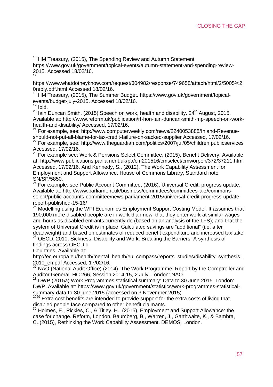<sup>16</sup> HM Treasury, (2015), The Spending Review and Autumn Statement.

[https://www.gov.uk/government/topical-events/autumn-statement-and-spending-review-](https://www.gov.uk/government/topical-events/autumn-statement-and-spending-review-2015)[2015.](https://www.gov.uk/government/topical-events/autumn-statement-and-spending-review-2015) Accessed 18/02/16. 17

[https://www.whatdotheyknow.com/request/304982/response/749658/attach/html/2/5005%2](https://www.whatdotheyknow.com/request/304982/response/749658/attach/html/2/5005%20reply.pdf.html) [0reply.pdf.html](https://www.whatdotheyknow.com/request/304982/response/749658/attach/html/2/5005%20reply.pdf.html) Accessed 18/02/16.

<sup>18</sup> HM Treasury, (2015), The Summer Budget. [https://www.gov.uk/government/topical](https://www.gov.uk/government/topical-events/budget-july-2015)[events/budget-july-2015.](https://www.gov.uk/government/topical-events/budget-july-2015) Accessed 18/02/16. <sup>19</sup> Ibid.

 $20$  Iain Duncan Smith, (2015) Speech on work, health and disability. 24<sup>th</sup> August, 2015. Available at[: http://www.reform.uk/publication/rt-hon-iain-duncan-smith-mp-speech-on-work](http://www.reform.uk/publication/rt-hon-iain-duncan-smith-mp-speech-on-work-health-and-disability/)[health-and-disability/](http://www.reform.uk/publication/rt-hon-iain-duncan-smith-mp-speech-on-work-health-and-disability/) Accessed, 17/02/16.

<sup>21</sup> For example, see[: http://www.computerweekly.com/news/2240053888/Inland-Revenue](http://www.computerweekly.com/news/2240053888/Inland-Revenue-should-not-put-all-blame-for-tax-credit-failure-on-sacked-supplier)[should-not-put-all-blame-for-tax-credit-failure-on-sacked-supplier](http://www.computerweekly.com/news/2240053888/Inland-Revenue-should-not-put-all-blame-for-tax-credit-failure-on-sacked-supplier) Accessed, 17/02/16.<br><sup>22</sup> For example, see[: http://www.theguardian.com/politics/2007/jul/05/children.publicservices](http://www.theguardian.com/politics/2007/jul/05/children.publicservices)

Accessed, 17/02/16.

<sup>23</sup> For example see: Work & Pensions Select Committee, (2015), Benefit Delivery. Available at:<http://www.publications.parliament.uk/pa/cm201516/cmselect/cmworpen/372/37211.htm> Accessed, 17/02/16. And Kennedy, S., (2012), The Work Capability Assessment for Employment and Support Allowance. House of Commons Library, Standard note

SN/SP/5850.<br><sup>24</sup> For example, see Public Account Committee, (2016), Universal Credit: progress update. Available at[: http://www.parliament.uk/business/committees/committees-a-z/commons](http://www.parliament.uk/business/committees/committees-a-z/commons-select/public-accounts-committee/news-parliament-2015/universal-credit-progress-update-report-published-15-16/)[select/public-accounts-committee/news-parliament-2015/universal-credit-progress-update](http://www.parliament.uk/business/committees/committees-a-z/commons-select/public-accounts-committee/news-parliament-2015/universal-credit-progress-update-report-published-15-16/)[report-published-15-16/](http://www.parliament.uk/business/committees/committees-a-z/commons-select/public-accounts-committee/news-parliament-2015/universal-credit-progress-update-report-published-15-16/)

<sup>25</sup> Modelling using the WPI Economics Employment Support Costing Model. It assumes that 190,000 more disabled people are in work than now; that they enter work at similar wages and hours as disabled entrants currently do (based on an analysis of the LFS); and that the system of Universal Credit is in place. Calculated savings are "additional" (i.e. after deadweight) and based on estimates of reduced benefit expenditure and increased tax take.

<sup>26</sup> OECD, 2010, Sickness, Disability and Work: Breaking the Barriers. A synthesis of findings across OECD c

Countries. Available at:

http://ec.europa.eu/health/mental\_health/eu\_compass/reports\_studies/disability\_synthesis [2010\\_en.pdf](http://ec.europa.eu/health/mental_health/eu_compass/reports_studies/disability_synthesis_2010_en.pdf) Accessed, 17/02/16.

<sup>27</sup> NAO (National Audit Office) (2014), The Work Programme: Report by the Comptroller and

Auditor General. HC 266, Session 2014-15, 2 July. London: NAO<br><sup>28</sup> DWP (2015a) Work Programmes statistical summary: Data to 30 June 2015. London: DWP. Available at: https://www.gov.uk/government/statistics/work-programmes-statistical-

summary-data-to-30-june-2015 (accessed on 3 November 2015)<br><sup>2929</sup> Extra cost benefits are intended to provide support for the extra costs of living that disabled people face compared to other benefit claimants.

<sup>30</sup> Holmes, E., Pickles, C., & Titley, H., (2015), Employment and Support Allowance: the case for change. Reform, London. Baumberg, B., Warren, J., Garthwaite, K., & Bambra, C.,(2015), Rethinking the Work Capability Assessment. DEMOS, London.